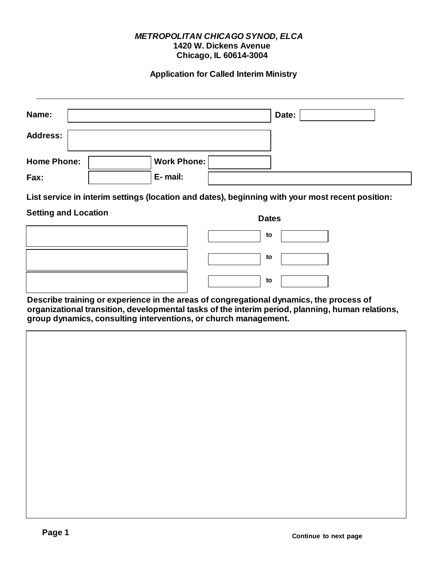#### *METROPOLITAN CHICAGO SYNOD, ELCA* **1420 W. Dickens Avenue Chicago, IL 60614-3004**

#### **Application for Called Interim Ministry**

| Name:              | Date:              |  |
|--------------------|--------------------|--|
| <b>Address:</b>    |                    |  |
| <b>Home Phone:</b> | <b>Work Phone:</b> |  |
| Fax:               | E-mail:            |  |

**List service in interim settings (location and dates), beginning with your most recent position:**

#### **Setting and Location Dates**

| Dates |  |
|-------|--|
| to    |  |
| to    |  |
| to    |  |

**Describe training or experience in the areas of congregational dynamics, the process of organizational transition, developmental tasks of the interim period, planning, human relations, group dynamics, consulting interventions, or church management.**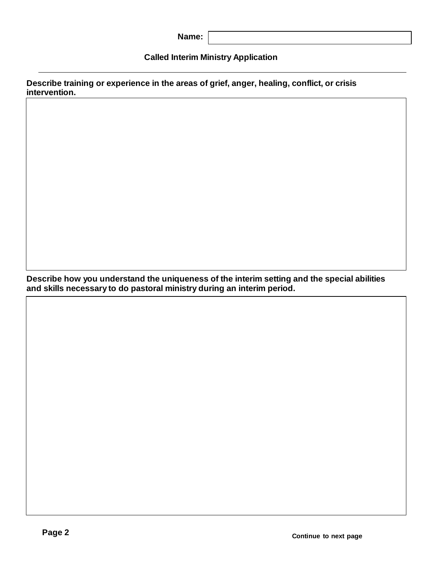## **Called Interim Ministry Application**

**Describe training or experience in the areas of grief, anger, healing, conflict, or crisis intervention.**

**Describe how you understand the uniqueness of the interim setting and the special abilities and skills necessary to do pastoral ministry during an interim period.**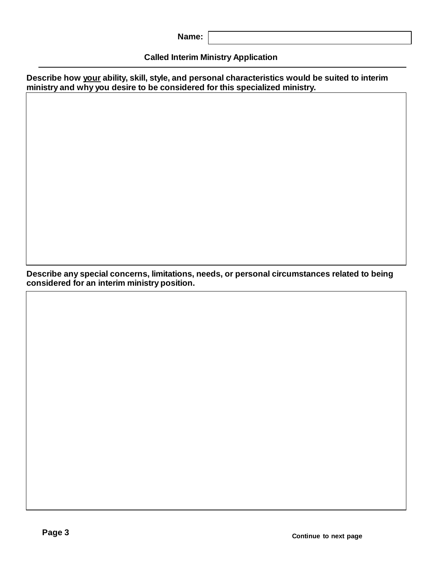| Name: |
|-------|
|-------|

# **Called Interim Ministry Application**

**Describe how your ability, skill, style, and personal characteristics would be suited to interim ministry and why you desire to be considered for this specialized ministry.**

**Describe any special concerns, limitations, needs, or personal circumstances related to being considered for an interim ministry position.**